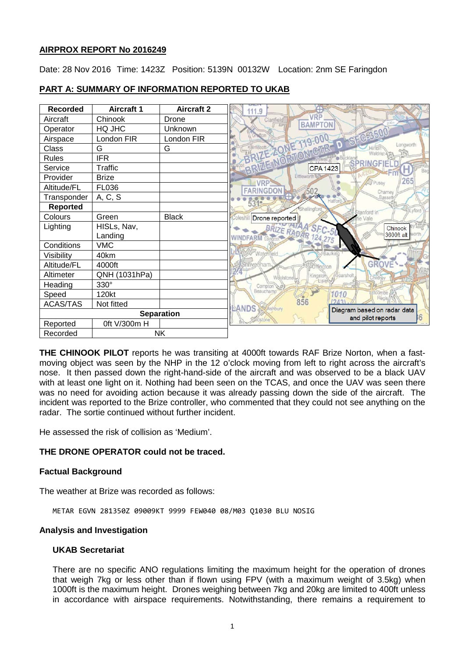# **AIRPROX REPORT No 2016249**

Date: 28 Nov 2016 Time: 1423Z Position: 5139N 00132W Location: 2nm SE Faringdon

| <b>Recorded</b>   | <b>Aircraft 1</b> | <b>Aircraft 2</b> | 111.9                   |                       |                     |                                                 |
|-------------------|-------------------|-------------------|-------------------------|-----------------------|---------------------|-------------------------------------------------|
| Aircraft          | Chinook           | Drone             |                         |                       |                     | <b>Standlak</b><br>BRIZE NORTION GIR D SFC 3500 |
| Operator          | HQ JHC            | Unknown           |                         |                       |                     |                                                 |
| Airspace          | London FIR        | London FIR        |                         |                       |                     |                                                 |
| Class             | G                 | G                 |                         |                       |                     | Longworth<br>冷                                  |
| <b>Rules</b>      | <b>IFR</b>        |                   |                         |                       |                     |                                                 |
| Service           | Traffic           |                   |                         |                       |                     |                                                 |
| Provider          | <b>Brize</b>      |                   | VRP <sup></sup>         | Littleworth           | Pusey               | 265                                             |
| Altitude/FL       | FL036             |                   | <b>FARINGDON</b>        | 502                   |                     | Chamey                                          |
| Transponder       | A, C, S           |                   | 531 <sup>e</sup>        | G.                    | Hatford             | Basset                                          |
| <b>Reported</b>   |                   |                   |                         | Shellingford          | Stanford in         | Lyford                                          |
| Colours           | Green             | <b>Black</b>      | <b>Coleshi</b>          | Drone reported        | the Vale            |                                                 |
| Lighting          | HISLs, Nav,       |                   |                         |                       | BRIZE RADAR 124,275 | Chinook                                         |
|                   | Landing           |                   | <b>WINDFARM Langcor</b> |                       |                     | 3600ft alt                                      |
| Conditions        | <b>VMC</b>        |                   |                         |                       |                     |                                                 |
| Visibility        | 40km              |                   | Watchfield.             |                       | Baulking            |                                                 |
| Altitude/FL       | 4000ft            |                   | Shrivenham              |                       | <b>Uffington</b>    | GROVE                                           |
| Altimeter         | QNH (1031hPa)     |                   |                         | Kingston<br>Weolstone | Sparshol<br>Childri |                                                 |
| Heading           | 330°              |                   | Compton                 |                       |                     |                                                 |
| Speed             | 120kt             |                   | Beauchamp               |                       | 1010<br>Real        | etcombe                                         |
| <b>ACAS/TAS</b>   | Not fitted        |                   | LANDS<br>Ashbury        | 856                   | 24                  | Diagram based on radar data                     |
| <b>Separation</b> |                   |                   |                         |                       |                     | and pilot reports                               |
| Reported          | 0ft V/300m H      |                   |                         |                       |                     |                                                 |
| Recorded          | <b>NK</b>         |                   |                         |                       |                     |                                                 |

# **PART A: SUMMARY OF INFORMATION REPORTED TO UKAB**

**THE CHINOOK PILOT** reports he was transiting at 4000ft towards RAF Brize Norton, when a fastmoving object was seen by the NHP in the 12 o'clock moving from left to right across the aircraft's nose. It then passed down the right-hand-side of the aircraft and was observed to be a black UAV with at least one light on it. Nothing had been seen on the TCAS, and once the UAV was seen there was no need for avoiding action because it was already passing down the side of the aircraft. The incident was reported to the Brize controller, who commented that they could not see anything on the radar. The sortie continued without further incident.

He assessed the risk of collision as 'Medium'.

# **THE DRONE OPERATOR could not be traced.**

# **Factual Background**

The weather at Brize was recorded as follows:

METAR EGVN 281350Z 09009KT 9999 FEW040 08/M03 Q1030 BLU NOSIG

### **Analysis and Investigation**

### **UKAB Secretariat**

There are no specific ANO regulations limiting the maximum height for the operation of drones that weigh 7kg or less other than if flown using FPV (with a maximum weight of 3.5kg) when 1000ft is the maximum height. Drones weighing between 7kg and 20kg are limited to 400ft unless in accordance with airspace requirements. Notwithstanding, there remains a requirement to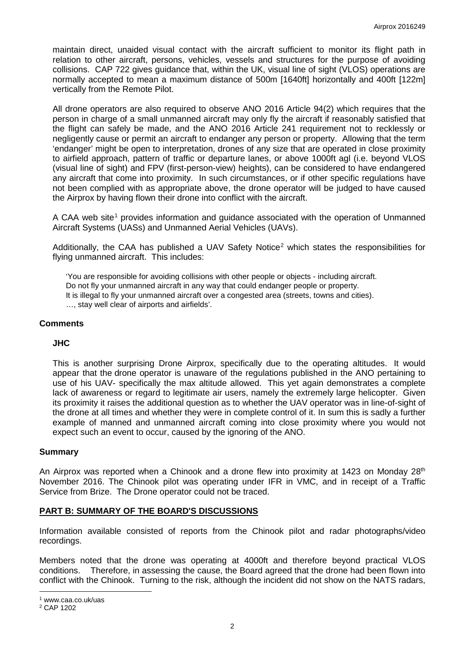maintain direct, unaided visual contact with the aircraft sufficient to monitor its flight path in relation to other aircraft, persons, vehicles, vessels and structures for the purpose of avoiding collisions. CAP 722 gives guidance that, within the UK, visual line of sight (VLOS) operations are normally accepted to mean a maximum distance of 500m [1640ft] horizontally and 400ft [122m] vertically from the Remote Pilot.

All drone operators are also required to observe ANO 2016 Article 94(2) which requires that the person in charge of a small unmanned aircraft may only fly the aircraft if reasonably satisfied that the flight can safely be made, and the ANO 2016 Article 241 requirement not to recklessly or negligently cause or permit an aircraft to endanger any person or property. Allowing that the term 'endanger' might be open to interpretation, drones of any size that are operated in close proximity to airfield approach, pattern of traffic or departure lanes, or above 1000ft agl (i.e. beyond VLOS (visual line of sight) and FPV (first-person-view) heights), can be considered to have endangered any aircraft that come into proximity. In such circumstances, or if other specific regulations have not been complied with as appropriate above, the drone operator will be judged to have caused the Airprox by having flown their drone into conflict with the aircraft.

A CAA web site<sup>[1](#page-1-0)</sup> provides information and guidance associated with the operation of Unmanned Aircraft Systems (UASs) and Unmanned Aerial Vehicles (UAVs).

Additionally, the CAA has published a UAV Safety Notice<sup>[2](#page-1-1)</sup> which states the responsibilities for flying unmanned aircraft. This includes:

'You are responsible for avoiding collisions with other people or objects - including aircraft. Do not fly your unmanned aircraft in any way that could endanger people or property. It is illegal to fly your unmanned aircraft over a congested area (streets, towns and cities). …, stay well clear of airports and airfields'.

## **Comments**

### **JHC**

This is another surprising Drone Airprox, specifically due to the operating altitudes. It would appear that the drone operator is unaware of the regulations published in the ANO pertaining to use of his UAV- specifically the max altitude allowed. This yet again demonstrates a complete lack of awareness or regard to legitimate air users, namely the extremely large helicopter. Given its proximity it raises the additional question as to whether the UAV operator was in line-of-sight of the drone at all times and whether they were in complete control of it. In sum this is sadly a further example of manned and unmanned aircraft coming into close proximity where you would not expect such an event to occur, caused by the ignoring of the ANO.

### **Summary**

An Airprox was reported when a Chinook and a drone flew into proximity at 1423 on Monday 28<sup>th</sup> November 2016. The Chinook pilot was operating under IFR in VMC, and in receipt of a Traffic Service from Brize. The Drone operator could not be traced.

# **PART B: SUMMARY OF THE BOARD'S DISCUSSIONS**

Information available consisted of reports from the Chinook pilot and radar photographs/video recordings.

Members noted that the drone was operating at 4000ft and therefore beyond practical VLOS conditions. Therefore, in assessing the cause, the Board agreed that the drone had been flown into conflict with the Chinook. Turning to the risk, although the incident did not show on the NATS radars,

l

<span id="page-1-0"></span><sup>1</sup> www.caa.co.uk/uas

<span id="page-1-1"></span><sup>2</sup> CAP 1202